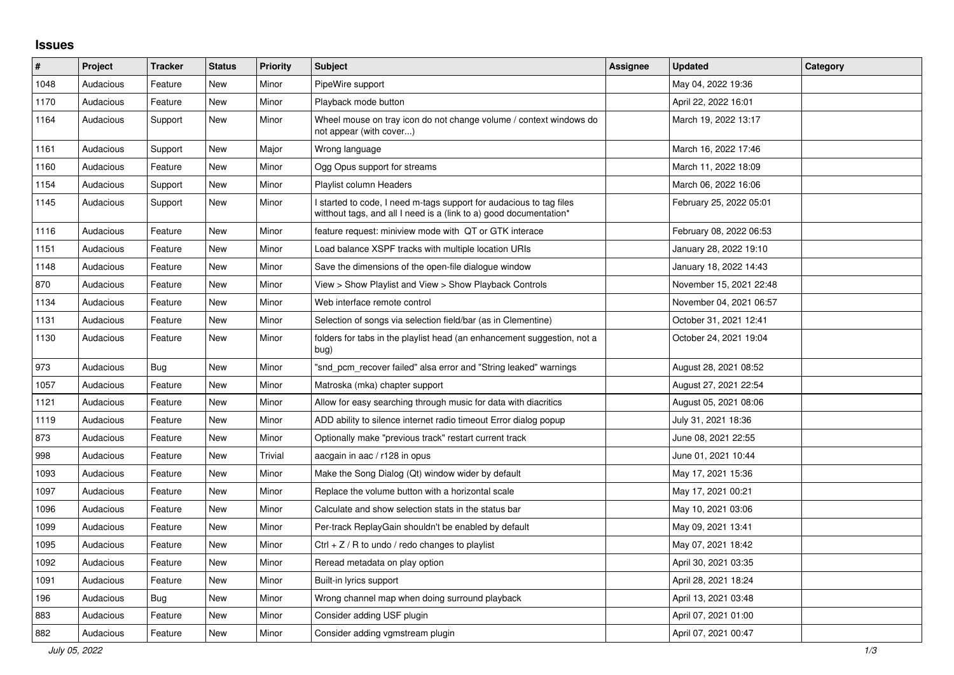## **Issues**

| $\vert$ # | <b>Project</b> | <b>Tracker</b> | <b>Status</b> | <b>Priority</b> | <b>Subject</b>                                                                                                                            | Assignee | <b>Updated</b>          | Category |
|-----------|----------------|----------------|---------------|-----------------|-------------------------------------------------------------------------------------------------------------------------------------------|----------|-------------------------|----------|
| 1048      | Audacious      | Feature        | <b>New</b>    | Minor           | PipeWire support                                                                                                                          |          | May 04, 2022 19:36      |          |
| 1170      | Audacious      | Feature        | New           | Minor           | Playback mode button                                                                                                                      |          | April 22, 2022 16:01    |          |
| 1164      | Audacious      | Support        | New           | Minor           | Wheel mouse on tray icon do not change volume / context windows do<br>not appear (with cover)                                             |          | March 19, 2022 13:17    |          |
| 1161      | Audacious      | Support        | <b>New</b>    | Major           | Wrong language                                                                                                                            |          | March 16, 2022 17:46    |          |
| 1160      | Audacious      | Feature        | New           | Minor           | Ogg Opus support for streams                                                                                                              |          | March 11, 2022 18:09    |          |
| 1154      | Audacious      | Support        | New           | Minor           | Playlist column Headers                                                                                                                   |          | March 06, 2022 16:06    |          |
| 1145      | Audacious      | Support        | New           | Minor           | I started to code, I need m-tags support for audacious to tag files<br>witthout tags, and all I need is a (link to a) good documentation* |          | February 25, 2022 05:01 |          |
| 1116      | Audacious      | Feature        | New           | Minor           | feature request: miniview mode with QT or GTK interace                                                                                    |          | February 08, 2022 06:53 |          |
| 1151      | Audacious      | Feature        | New           | Minor           | Load balance XSPF tracks with multiple location URIs                                                                                      |          | January 28, 2022 19:10  |          |
| 1148      | Audacious      | Feature        | New           | Minor           | Save the dimensions of the open-file dialogue window                                                                                      |          | January 18, 2022 14:43  |          |
| 870       | Audacious      | Feature        | New           | Minor           | View > Show Playlist and View > Show Playback Controls                                                                                    |          | November 15, 2021 22:48 |          |
| 1134      | Audacious      | Feature        | New           | Minor           | Web interface remote control                                                                                                              |          | November 04, 2021 06:57 |          |
| 1131      | Audacious      | Feature        | New           | Minor           | Selection of songs via selection field/bar (as in Clementine)                                                                             |          | October 31, 2021 12:41  |          |
| 1130      | Audacious      | Feature        | New           | Minor           | folders for tabs in the playlist head (an enhancement suggestion, not a<br>bug)                                                           |          | October 24, 2021 19:04  |          |
| 973       | Audacious      | <b>Bug</b>     | New           | Minor           | "snd_pcm_recover failed" alsa error and "String leaked" warnings                                                                          |          | August 28, 2021 08:52   |          |
| 1057      | Audacious      | Feature        | New           | Minor           | Matroska (mka) chapter support                                                                                                            |          | August 27, 2021 22:54   |          |
| 1121      | Audacious      | Feature        | New           | Minor           | Allow for easy searching through music for data with diacritics                                                                           |          | August 05, 2021 08:06   |          |
| 1119      | Audacious      | Feature        | New           | Minor           | ADD ability to silence internet radio timeout Error dialog popup                                                                          |          | July 31, 2021 18:36     |          |
| 873       | Audacious      | Feature        | <b>New</b>    | Minor           | Optionally make "previous track" restart current track                                                                                    |          | June 08, 2021 22:55     |          |
| 998       | Audacious      | Feature        | New           | Trivial         | aacgain in aac / r128 in opus                                                                                                             |          | June 01, 2021 10:44     |          |
| 1093      | Audacious      | Feature        | New           | Minor           | Make the Song Dialog (Qt) window wider by default                                                                                         |          | May 17, 2021 15:36      |          |
| 1097      | Audacious      | Feature        | New           | Minor           | Replace the volume button with a horizontal scale                                                                                         |          | May 17, 2021 00:21      |          |
| 1096      | Audacious      | Feature        | New           | Minor           | Calculate and show selection stats in the status bar                                                                                      |          | May 10, 2021 03:06      |          |
| 1099      | Audacious      | Feature        | <b>New</b>    | Minor           | Per-track ReplayGain shouldn't be enabled by default                                                                                      |          | May 09, 2021 13:41      |          |
| 1095      | Audacious      | Feature        | New           | Minor           | Ctrl + $Z$ / R to undo / redo changes to playlist                                                                                         |          | May 07, 2021 18:42      |          |
| 1092      | Audacious      | Feature        | New           | Minor           | Reread metadata on play option                                                                                                            |          | April 30, 2021 03:35    |          |
| 1091      | Audacious      | Feature        | New           | Minor           | Built-in lyrics support                                                                                                                   |          | April 28, 2021 18:24    |          |
| 196       | Audacious      | Bug            | New           | Minor           | Wrong channel map when doing surround playback                                                                                            |          | April 13, 2021 03:48    |          |
| 883       | Audacious      | Feature        | New           | Minor           | Consider adding USF plugin                                                                                                                |          | April 07, 2021 01:00    |          |
| 882       | Audacious      | Feature        | <b>New</b>    | Minor           | Consider adding vgmstream plugin                                                                                                          |          | April 07, 2021 00:47    |          |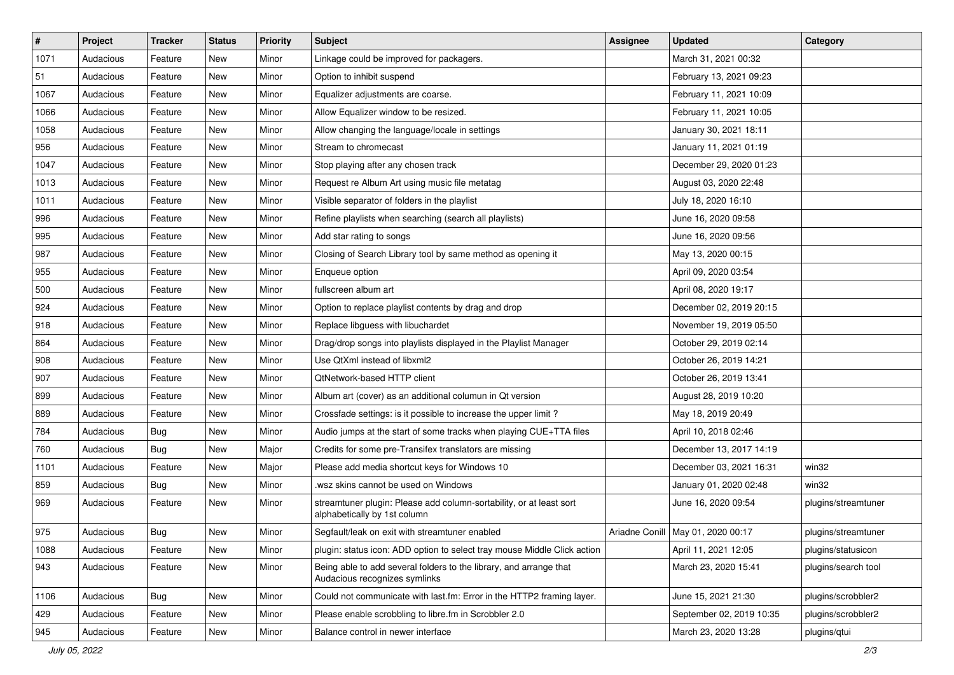| $\vert$ # | Project   | <b>Tracker</b> | <b>Status</b> | <b>Priority</b> | <b>Subject</b>                                                                                      | <b>Assignee</b> | <b>Updated</b>                      | Category            |
|-----------|-----------|----------------|---------------|-----------------|-----------------------------------------------------------------------------------------------------|-----------------|-------------------------------------|---------------------|
| 1071      | Audacious | Feature        | New           | Minor           | Linkage could be improved for packagers.                                                            |                 | March 31, 2021 00:32                |                     |
| 51        | Audacious | Feature        | <b>New</b>    | Minor           | Option to inhibit suspend                                                                           |                 | February 13, 2021 09:23             |                     |
| 1067      | Audacious | Feature        | New           | Minor           | Equalizer adjustments are coarse.                                                                   |                 | February 11, 2021 10:09             |                     |
| 1066      | Audacious | Feature        | New           | Minor           | Allow Equalizer window to be resized.                                                               |                 | February 11, 2021 10:05             |                     |
| 1058      | Audacious | Feature        | <b>New</b>    | Minor           | Allow changing the language/locale in settings                                                      |                 | January 30, 2021 18:11              |                     |
| 956       | Audacious | Feature        | New           | Minor           | Stream to chromecast                                                                                |                 | January 11, 2021 01:19              |                     |
| 1047      | Audacious | Feature        | <b>New</b>    | Minor           | Stop playing after any chosen track                                                                 |                 | December 29, 2020 01:23             |                     |
| 1013      | Audacious | Feature        | New           | Minor           | Request re Album Art using music file metatag                                                       |                 | August 03, 2020 22:48               |                     |
| 1011      | Audacious | Feature        | New           | Minor           | Visible separator of folders in the playlist                                                        |                 | July 18, 2020 16:10                 |                     |
| 996       | Audacious | Feature        | <b>New</b>    | Minor           | Refine playlists when searching (search all playlists)                                              |                 | June 16, 2020 09:58                 |                     |
| 995       | Audacious | Feature        | New           | Minor           | Add star rating to songs                                                                            |                 | June 16, 2020 09:56                 |                     |
| 987       | Audacious | Feature        | New           | Minor           | Closing of Search Library tool by same method as opening it                                         |                 | May 13, 2020 00:15                  |                     |
| 955       | Audacious | Feature        | New           | Minor           | Enqueue option                                                                                      |                 | April 09, 2020 03:54                |                     |
| 500       | Audacious | Feature        | New           | Minor           | fullscreen album art                                                                                |                 | April 08, 2020 19:17                |                     |
| 924       | Audacious | Feature        | <b>New</b>    | Minor           | Option to replace playlist contents by drag and drop                                                |                 | December 02, 2019 20:15             |                     |
| 918       | Audacious | Feature        | New           | Minor           | Replace libguess with libuchardet                                                                   |                 | November 19, 2019 05:50             |                     |
| 864       | Audacious | Feature        | New           | Minor           | Drag/drop songs into playlists displayed in the Playlist Manager                                    |                 | October 29, 2019 02:14              |                     |
| 908       | Audacious | Feature        | <b>New</b>    | Minor           | Use QtXml instead of libxml2                                                                        |                 | October 26, 2019 14:21              |                     |
| 907       | Audacious | Feature        | New           | Minor           | QtNetwork-based HTTP client                                                                         |                 | October 26, 2019 13:41              |                     |
| 899       | Audacious | Feature        | New           | Minor           | Album art (cover) as an additional columun in Qt version                                            |                 | August 28, 2019 10:20               |                     |
| 889       | Audacious | Feature        | New           | Minor           | Crossfade settings: is it possible to increase the upper limit?                                     |                 | May 18, 2019 20:49                  |                     |
| 784       | Audacious | <b>Bug</b>     | New           | Minor           | Audio jumps at the start of some tracks when playing CUE+TTA files                                  |                 | April 10, 2018 02:46                |                     |
| 760       | Audacious | <b>Bug</b>     | <b>New</b>    | Major           | Credits for some pre-Transifex translators are missing                                              |                 | December 13, 2017 14:19             |                     |
| 1101      | Audacious | Feature        | New           | Major           | Please add media shortcut keys for Windows 10                                                       |                 | December 03, 2021 16:31             | win32               |
| 859       | Audacious | <b>Bug</b>     | New           | Minor           | .wsz skins cannot be used on Windows                                                                |                 | January 01, 2020 02:48              | win32               |
| 969       | Audacious | Feature        | New           | Minor           | streamtuner plugin: Please add column-sortability, or at least sort<br>alphabetically by 1st column |                 | June 16, 2020 09:54                 | plugins/streamtuner |
| 975       | Audacious | <b>Bug</b>     | New           | Minor           | Segfault/leak on exit with streamtuner enabled                                                      |                 | Ariadne Conill   May 01, 2020 00:17 | plugins/streamtuner |
| 1088      | Audacious | Feature        | New           | Minor           | plugin: status icon: ADD option to select tray mouse Middle Click action                            |                 | April 11, 2021 12:05                | plugins/statusicon  |
| 943       | Audacious | Feature        | New           | Minor           | Being able to add several folders to the library, and arrange that<br>Audacious recognizes symlinks |                 | March 23, 2020 15:41                | plugins/search tool |
| 1106      | Audacious | Bug            | New           | Minor           | Could not communicate with last.fm: Error in the HTTP2 framing layer.                               |                 | June 15, 2021 21:30                 | plugins/scrobbler2  |
| 429       | Audacious | Feature        | New           | Minor           | Please enable scrobbling to libre.fm in Scrobbler 2.0                                               |                 | September 02, 2019 10:35            | plugins/scrobbler2  |
| 945       | Audacious | Feature        | New           | Minor           | Balance control in newer interface                                                                  |                 | March 23, 2020 13:28                | plugins/qtui        |